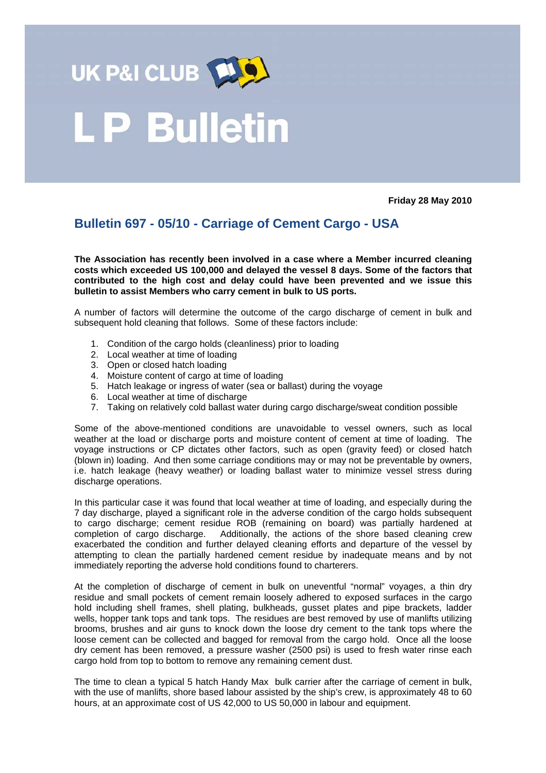

## .P Bulletin

**Friday 28 May 2010** 

## **Bulletin 697 - 05/10 - Carriage of Cement Cargo - USA**

**The Association has recently been involved in a case where a Member incurred cleaning costs which exceeded US 100,000 and delayed the vessel 8 days. Some of the factors that contributed to the high cost and delay could have been prevented and we issue this bulletin to assist Members who carry cement in bulk to US ports.** 

A number of factors will determine the outcome of the cargo discharge of cement in bulk and subsequent hold cleaning that follows. Some of these factors include:

- 1. Condition of the cargo holds (cleanliness) prior to loading
- 2. Local weather at time of loading
- 3. Open or closed hatch loading
- 4. Moisture content of cargo at time of loading
- 5. Hatch leakage or ingress of water (sea or ballast) during the voyage
- 6. Local weather at time of discharge
- 7. Taking on relatively cold ballast water during cargo discharge/sweat condition possible

Some of the above-mentioned conditions are unavoidable to vessel owners, such as local weather at the load or discharge ports and moisture content of cement at time of loading. The voyage instructions or CP dictates other factors, such as open (gravity feed) or closed hatch (blown in) loading. And then some carriage conditions may or may not be preventable by owners, i.e. hatch leakage (heavy weather) or loading ballast water to minimize vessel stress during discharge operations.

In this particular case it was found that local weather at time of loading, and especially during the 7 day discharge, played a significant role in the adverse condition of the cargo holds subsequent to cargo discharge; cement residue ROB (remaining on board) was partially hardened at completion of cargo discharge. Additionally, the actions of the shore based cleaning crew exacerbated the condition and further delayed cleaning efforts and departure of the vessel by attempting to clean the partially hardened cement residue by inadequate means and by not immediately reporting the adverse hold conditions found to charterers.

At the completion of discharge of cement in bulk on uneventful "normal" voyages, a thin dry residue and small pockets of cement remain loosely adhered to exposed surfaces in the cargo hold including shell frames, shell plating, bulkheads, gusset plates and pipe brackets, ladder wells, hopper tank tops and tank tops. The residues are best removed by use of manlifts utilizing brooms, brushes and air guns to knock down the loose dry cement to the tank tops where the loose cement can be collected and bagged for removal from the cargo hold. Once all the loose dry cement has been removed, a pressure washer (2500 psi) is used to fresh water rinse each cargo hold from top to bottom to remove any remaining cement dust.

The time to clean a typical 5 hatch Handy Max bulk carrier after the carriage of cement in bulk, with the use of manlifts, shore based labour assisted by the ship's crew, is approximately 48 to 60 hours, at an approximate cost of US 42,000 to US 50,000 in labour and equipment.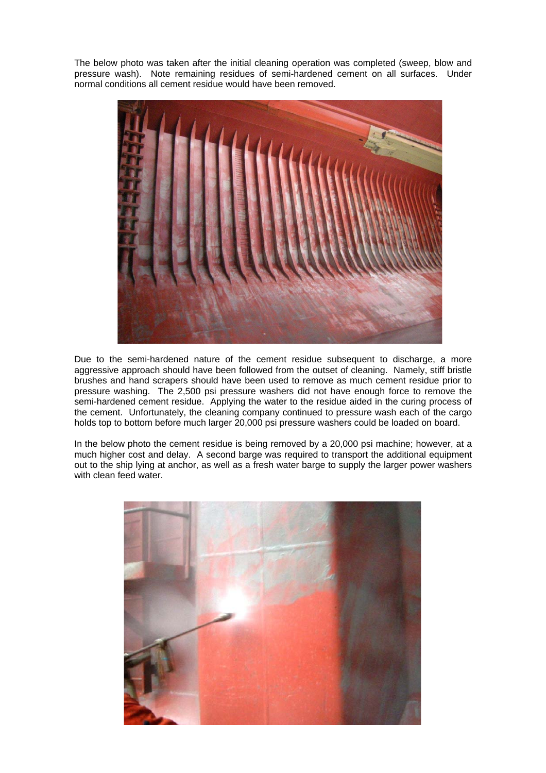The below photo was taken after the initial cleaning operation was completed (sweep, blow and pressure wash). Note remaining residues of semi-hardened cement on all surfaces. Under normal conditions all cement residue would have been removed.



Due to the semi-hardened nature of the cement residue subsequent to discharge, a more aggressive approach should have been followed from the outset of cleaning. Namely, stiff bristle brushes and hand scrapers should have been used to remove as much cement residue prior to pressure washing. The 2,500 psi pressure washers did not have enough force to remove the semi-hardened cement residue. Applying the water to the residue aided in the curing process of the cement. Unfortunately, the cleaning company continued to pressure wash each of the cargo holds top to bottom before much larger 20,000 psi pressure washers could be loaded on board.

In the below photo the cement residue is being removed by a 20,000 psi machine; however, at a much higher cost and delay. A second barge was required to transport the additional equipment out to the ship lying at anchor, as well as a fresh water barge to supply the larger power washers with clean feed water.